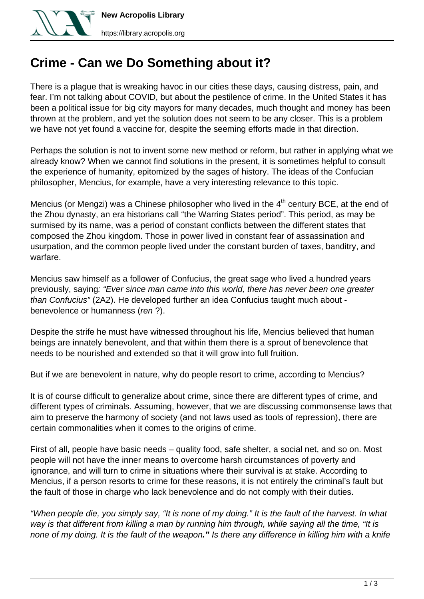

## **Crime - Can we Do Something about it?**

There is a plague that is wreaking havoc in our cities these days, causing distress, pain, and fear. I'm not talking about COVID, but about the pestilence of crime. In the United States it has been a political issue for big city mayors for many decades, much thought and money has been thrown at the problem, and yet the solution does not seem to be any closer. This is a problem we have not yet found a vaccine for, despite the seeming efforts made in that direction.

Perhaps the solution is not to invent some new method or reform, but rather in applying what we already know? When we cannot find solutions in the present, it is sometimes helpful to consult the experience of humanity, epitomized by the sages of history. The ideas of the Confucian philosopher, Mencius, for example, have a very interesting relevance to this topic.

Mencius (or Mengzi) was a Chinese philosopher who lived in the  $4<sup>th</sup>$  century BCE, at the end of the Zhou dynasty, an era historians call "the Warring States period". This period, as may be surmised by its name, was a period of constant conflicts between the different states that composed the Zhou kingdom. Those in power lived in constant fear of assassination and usurpation, and the common people lived under the constant burden of taxes, banditry, and warfare.

Mencius saw himself as a follower of Confucius, the great sage who lived a hundred years previously, saying: "Ever since man came into this world, there has never been one greater than Confucius" (2A2). He developed further an idea Confucius taught much about benevolence or humanness (ren ?).

Despite the strife he must have witnessed throughout his life, Mencius believed that human beings are innately benevolent, and that within them there is a sprout of benevolence that needs to be nourished and extended so that it will grow into full fruition.

But if we are benevolent in nature, why do people resort to crime, according to Mencius?

It is of course difficult to generalize about crime, since there are different types of crime, and different types of criminals. Assuming, however, that we are discussing commonsense laws that aim to preserve the harmony of society (and not laws used as tools of repression), there are certain commonalities when it comes to the origins of crime.

First of all, people have basic needs – quality food, safe shelter, a social net, and so on. Most people will not have the inner means to overcome harsh circumstances of poverty and ignorance, and will turn to crime in situations where their survival is at stake. According to Mencius, if a person resorts to crime for these reasons, it is not entirely the criminal's fault but the fault of those in charge who lack benevolence and do not comply with their duties.

"When people die, you simply say, "It is none of my doing." It is the fault of the harvest. In what way is that different from killing a man by running him through, while saying all the time, "It is none of my doing. It is the fault of the weapon**."** Is there any difference in killing him with a knife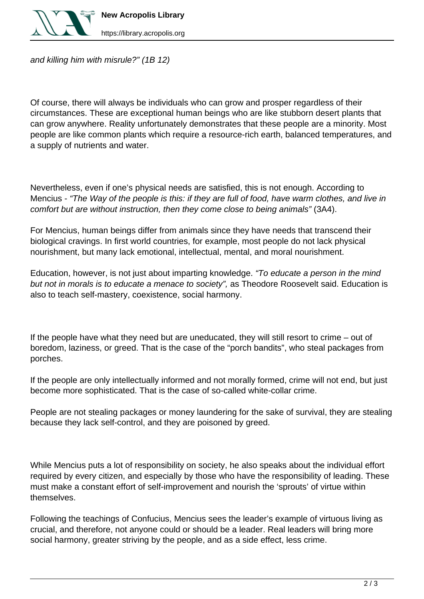

and killing him with misrule?" (1B 12)

Of course, there will always be individuals who can grow and prosper regardless of their circumstances. These are exceptional human beings who are like stubborn desert plants that can grow anywhere. Reality unfortunately demonstrates that these people are a minority. Most people are like common plants which require a resource-rich earth, balanced temperatures, and a supply of nutrients and water.

Nevertheless, even if one's physical needs are satisfied, this is not enough. According to Mencius - "The Way of the people is this: if they are full of food, have warm clothes, and live in comfort but are without instruction, then they come close to being animals" (3A4).

For Mencius, human beings differ from animals since they have needs that transcend their biological cravings. In first world countries, for example, most people do not lack physical nourishment, but many lack emotional, intellectual, mental, and moral nourishment.

Education, however, is not just about imparting knowledge. "To educate a person in the mind but not in morals is to educate a menace to society", as Theodore Roosevelt said. Education is also to teach self-mastery, coexistence, social harmony.

If the people have what they need but are uneducated, they will still resort to crime – out of boredom, laziness, or greed. That is the case of the "porch bandits", who steal packages from porches.

If the people are only intellectually informed and not morally formed, crime will not end, but just become more sophisticated. That is the case of so-called white-collar crime.

People are not stealing packages or money laundering for the sake of survival, they are stealing because they lack self-control, and they are poisoned by greed.

While Mencius puts a lot of responsibility on society, he also speaks about the individual effort required by every citizen, and especially by those who have the responsibility of leading. These must make a constant effort of self-improvement and nourish the 'sprouts' of virtue within themselves.

Following the teachings of Confucius, Mencius sees the leader's example of virtuous living as crucial, and therefore, not anyone could or should be a leader. Real leaders will bring more social harmony, greater striving by the people, and as a side effect, less crime.